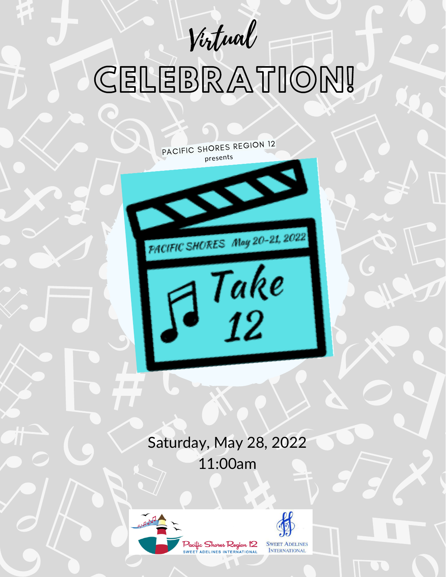Virtual

# CELEBRATION!

PACIFIC SHORES REGION <sup>12</sup>

presents<br>
and the set of the set of the set of the set of the set of the set of the set of the set of the set of the set of the set of the set of the set of the set of the set of the set of the set of the set of the set of

PACIFIC SHORES May 20-21, 2022

 $\sqrt{\frac{Take}{12}}$ 

Saturday, May 28, 2022 11:00am





**INTERNATIONAL**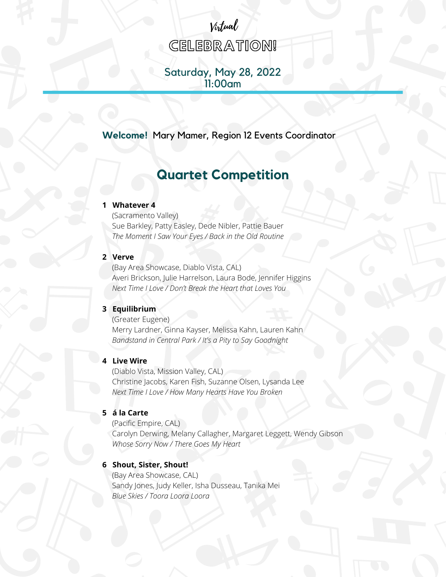# **CELEBRATION!**

Virtual

## Saturday, May 28, 2022 11:00am

**Welcome!** Mary Mamer, Region 12 Events Coordinator

# **Quartet Competition**

#### **1 Whatever 4**

(Sacramento Valley) Sue Barkley, Patty Easley, Dede Nibler, Pattie Bauer *The Moment I Saw Your Eyes / Back in the Old Routine*

#### **2 Verve**

(Bay Area Showcase, Diablo Vista, CAL) Averi Brickson, Julie Harrelson, Laura Bode, Jennifer Higgins *Next Time I Love / Don't Break the Heart that Loves You*

#### **3 Equilibrium**

(Greater Eugene) Merry Lardner, Ginna Kayser, Melissa Kahn, Lauren Kahn *Bandstand in Central Park / It's a Pity to Say Goodnight*

#### **4 Live Wire**

(Diablo Vista, Mission Valley, CAL) Christine Jacobs, Karen Fish, Suzanne Olsen, Lysanda Lee *Next Time I Love / How Many Hearts Have You Broken*

#### **5 á la Carte**

(Pacific Empire, CAL) Carolyn Derwing, Melany Callagher, Margaret Leggett, Wendy Gibson *Whose Sorry Now / There Goes My Heart*

#### **6 Shout, Sister, Shout!**

(Bay Area Showcase, CAL) Sandy Jones, Judy Keller, Isha Dusseau, Tanika Mei *Blue Skies / Toora Loora Loora*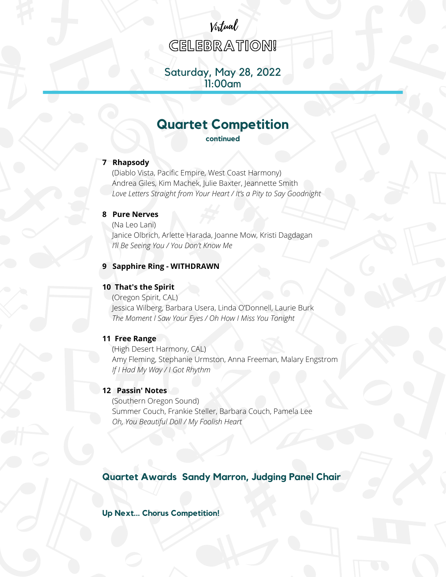# Virtual

**CELEBRATION!** 

## Saturday, May 28, 2022 11:00am

# **Quartet Competition**

**continued**

#### **7 Rhapsody**

(Diablo Vista, Pacific Empire, West Coast Harmony) Andrea Giles, Kim Machek, Julie Baxter, Jeannette Smith *Love Letters Straight from Your Heart / It's a Pity to Say Goodnight*

#### **8 Pure Nerves**

(Na Leo Lani) Janice Olbrich, Arlette Harada, Joanne Mow, Kristi Dagdagan *I'll Be Seeing You / You Don't Know Me*

#### **9 Sapphire Ring - WITHDRAWN**

#### **10 That's the Spirit**

(Oregon Spirit, CAL) Jessica Wilberg, Barbara Usera, Linda O'Donnell, Laurie Burk *The Moment I Saw Your Eyes / Oh How I Miss You Tonight*

#### **11 Free Range**

(High Desert Harmony, CAL) Amy Fleming, Stephanie Urmston, Anna Freeman, Malary Engstrom *If I Had My Way / I Got Rhythm*

#### **12 Passin' Notes**

(Southern Oregon Sound) Summer Couch, Frankie Steller, Barbara Couch, Pamela Lee *Oh, You Beautiful Doll / My Foolish Heart*

#### **Quartet Awards Sandy Marron, Judging Panel Chair**

**Up Next... Chorus Competition!**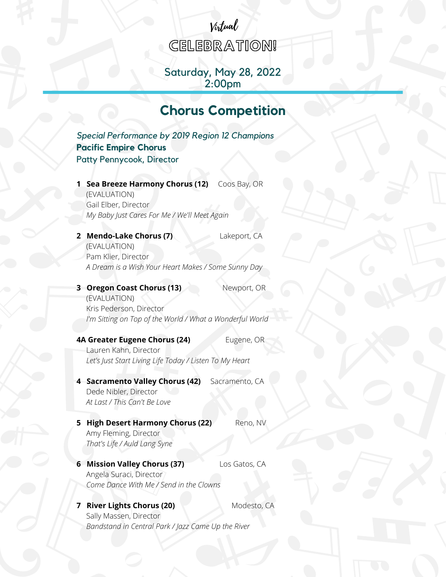# Virtual

**CELEBRATION!** 

## Saturday, May 28, 2022 2:00pm

# **Chorus Competition**

*Special Performance by 2019 Region 12 Champions* **Pacific Empire Chorus** Patty Pennycook, Director

**1 Sea Breeze Harmony Chorus (12)** Coos Bay, OR (EVALUATION) Gail Elber, Director *My Baby Just Cares For Me / We'll Meet Again*

**2 Mendo-Lake Chorus (7)** Lakeport, CA (EVALUATION) Pam Klier, Director *A Dream is a Wish Your Heart Makes / Some Sunny Day*

**3 Oregon Coast Chorus (13)** Newport, OR (EVALUATION) Kris Pederson, Director *I'm Sitting on Top of the World / What a Wonderful World*

#### **4A Greater Eugene Chorus (24)** Eugene, OR

Lauren Kahn, Director *Let's Just Start Living Life Today / Listen To My Heart*

**4 Sacramento Valley Chorus (42)** Sacramento, CA Dede Nibler, Director *At Last / This Can't Be Love*

- **5 High Desert Harmony Chorus (22)** Reno, NV Amy Fleming, Director *That's Life / Auld Lang Syne*
- **6 Mission Valley Chorus (37)** Los Gatos, CA Angela Suraci, Director *Come Dance With Me / Send in the Clowns*

#### **7 River Lights Chorus (20)** Modesto, CA Sally Massen, Director *Bandstand in Central Park / Jazz Came Up the River*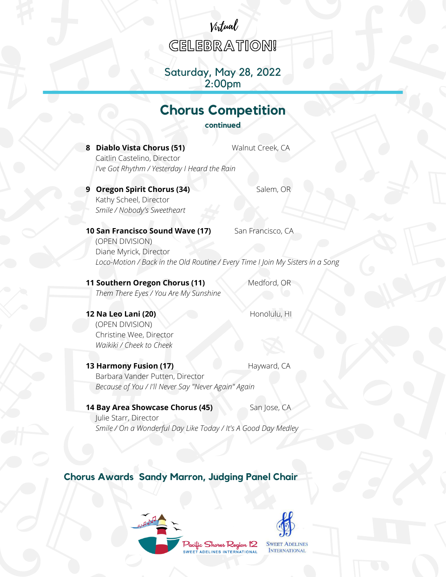# Virtual

**CELEBRATION!** 

## Saturday, May 28, 2022 2:00pm

# **Chorus Competition**

**continued**

**8 Diablo Vista Chorus (51)** Walnut Creek, CA

Caitlin Castelino, Director *I've Got Rhythm / Yesterday I Heard the Rain*

**9 Oregon Spirit Chorus (34)** Salem, OR Kathy Scheel, Director *Smile / Nobody's Sweetheart*

**10 San Francisco Sound Wave (17)** San Francisco, CA

(OPEN DIVISION) Diane Myrick, Director *Loco-Motion / Back in the Old Routine / Every Time I Join My Sisters in a Song*

**11 Southern Oregon Chorus (11)** Medford, OR *Them There Eyes / You Are My Sunshine*

**12 Na Leo Lani (20) Honolulu, HI** 

(OPEN DIVISION) Christine Wee, Director *Waikiki / Cheek to Cheek*

**13 Harmony Fusion (17)** Hayward, CA Barbara Vander Putten, Director *Because of You / I'll Never Say "Never Again" Again*

#### **14 Bay Area Showcase Chorus (45)** San Jose, CA

Julie Starr, Director *Smile / On a Wonderful Day Like Today / It's A Good Day Medley*

**Chorus Awards Sandy Marron, Judging Panel Chair**





**SWEET ADELINES INTERNATIONAL** 

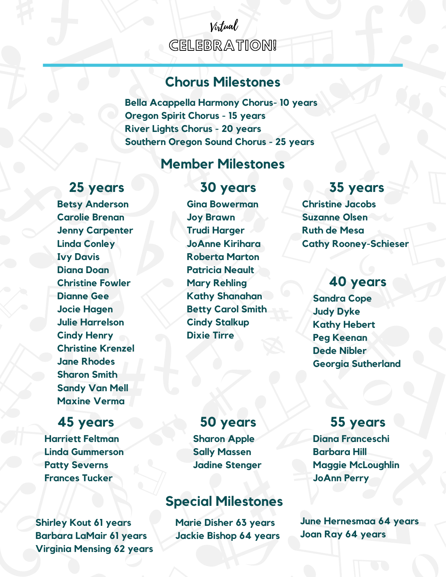# CELEBRATION! Virtual

# **Chorus Milestones**

**Bella Acappella Harmony Chorus- 10 years Oregon Spirit Chorus - 15 years River Lights Chorus - 20 years Southern Oregon Sound Chorus - 25 years**

# **Member Milestones**

# **25 years**

**Betsy Anderson Carolie Brenan Jenny Carpenter Linda Conley Ivy Davis Diana Doan Christine Fowler Dianne Gee Jocie Hagen Julie Harrelson Cindy Henry Christine Krenzel Jane Rhodes Sharon Smith Sandy Van Mell Maxine Verma**

# **45 years**

**Harriett Feltman Linda Gummerson Patty Severns Frances Tucker**

**Shirley Kout 61 years Barbara LaMair 61 years Virginia Mensing 62 years**

# **30 years**

**Gina Bowerman Joy Brawn Trudi Harger JoAnne Kirihara Roberta Marton Patricia Neault Mary Rehling Kathy Shanahan Betty Carol Smith Cindy Stalkup Dixie Tirre**

# **35 years**

**Christine Jacobs Suzanne Olsen Ruth de Mesa Cathy Rooney-Schieser**

# **40 years**

**Sandra Cope Judy Dyke Kathy Hebert Peg Keenan Dede Nibler Georgia Sutherland**

# **50 years**

**Sharon Apple Sally Massen Jadine Stenger**

# **Special Milestones**

**Marie Disher 63 years Jackie Bishop 64 years**

# **55 years**

**Diana Franceschi Barbara Hill Maggie McLoughlin JoAnn Perry**

**June Hernesmaa 64 years Joan Ray 64 years**